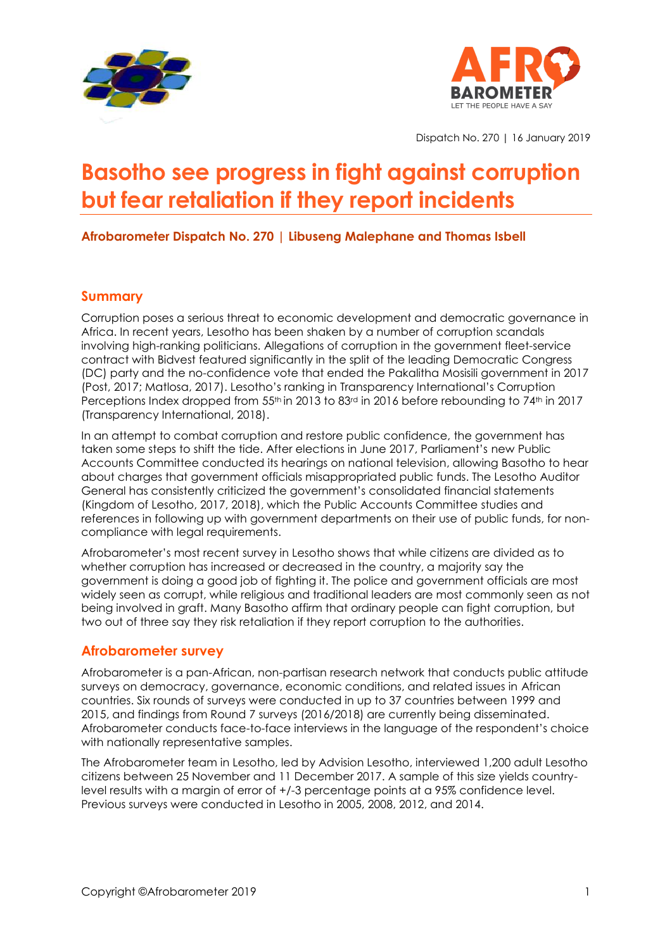



Dispatch No. 270 | 16 January 2019

# **Basotho see progress in fight against corruption but fear retaliation if they report incidents**

**Afrobarometer Dispatch No. 270 | Libuseng Malephane and Thomas Isbell**

## **Summary**

Corruption poses a serious threat to economic development and democratic governance in Africa. In recent years, Lesotho has been shaken by a number of corruption scandals involving high-ranking politicians. Allegations of corruption in the government fleet-service contract with Bidvest featured significantly in the split of the leading Democratic Congress (DC) party and the no-confidence vote that ended the Pakalitha Mosisili government in 2017 (Post, 2017; Matlosa, 2017). Lesotho's ranking in Transparency International's Corruption Perceptions Index dropped from 55<sup>th</sup> in 2013 to 83<sup>rd</sup> in 2016 before rebounding to 74<sup>th</sup> in 2017 (Transparency International, 2018).

In an attempt to combat corruption and restore public confidence, the government has taken some steps to shift the tide. After elections in June 2017, Parliament's new Public Accounts Committee conducted its hearings on national television, allowing Basotho to hear about charges that government officials misappropriated public funds. The Lesotho Auditor General has consistently criticized the government's consolidated financial statements (Kingdom of Lesotho, 2017, 2018), which the Public Accounts Committee studies and references in following up with government departments on their use of public funds, for noncompliance with legal requirements.

Afrobarometer's most recent survey in Lesotho shows that while citizens are divided as to whether corruption has increased or decreased in the country, a majority say the government is doing a good job of fighting it. The police and government officials are most widely seen as corrupt, while religious and traditional leaders are most commonly seen as not being involved in graft. Many Basotho affirm that ordinary people can fight corruption, but two out of three say they risk retaliation if they report corruption to the authorities.

## **Afrobarometer survey**

Afrobarometer is a pan-African, non-partisan research network that conducts public attitude surveys on democracy, governance, economic conditions, and related issues in African countries. Six rounds of surveys were conducted in up to 37 countries between 1999 and 2015, and findings from Round 7 surveys (2016/2018) are currently being disseminated. Afrobarometer conducts face-to-face interviews in the language of the respondent's choice with nationally representative samples.

The Afrobarometer team in Lesotho, led by Advision Lesotho, interviewed 1,200 adult Lesotho citizens between 25 November and 11 December 2017. A sample of this size yields countrylevel results with a margin of error of +/-3 percentage points at a 95% confidence level. Previous surveys were conducted in Lesotho in 2005, 2008, 2012, and 2014.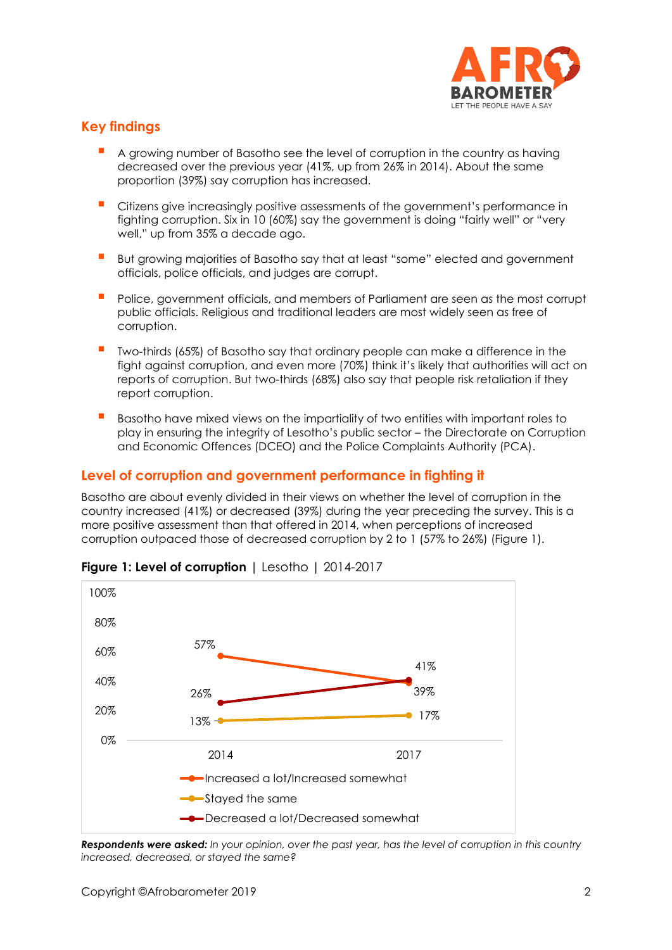

# **Key findings**

- A growing number of Basotho see the level of corruption in the country as having decreased over the previous year (41%, up from 26% in 2014). About the same proportion (39%) say corruption has increased.
- Citizens give increasingly positive assessments of the government's performance in fighting corruption. Six in 10 (60%) say the government is doing "fairly well" or "very well," up from 35% a decade ago.
- But growing majorities of Basotho say that at least "some" elected and government officials, police officials, and judges are corrupt.
- Police, government officials, and members of Parliament are seen as the most corrupt public officials. Religious and traditional leaders are most widely seen as free of corruption.
- Two-thirds (65%) of Basotho say that ordinary people can make a difference in the fight against corruption, and even more (70%) think it's likely that authorities will act on reports of corruption. But two-thirds (68%) also say that people risk retaliation if they report corruption.
- Basotho have mixed views on the impartiality of two entities with important roles to play in ensuring the integrity of Lesotho's public sector – the Directorate on Corruption and Economic Offences (DCEO) and the Police Complaints Authority (PCA).

## **Level of corruption and government performance in fighting it**

Basotho are about evenly divided in their views on whether the level of corruption in the country increased (41%) or decreased (39%) during the year preceding the survey. This is a more positive assessment than that offered in 2014, when perceptions of increased corruption outpaced those of decreased corruption by 2 to 1 (57% to 26%) (Figure 1).



#### **Figure 1: Level of corruption** | Lesotho | 2014-2017

*Respondents were asked: In your opinion, over the past year, has the level of corruption in this country increased, decreased, or stayed the same?*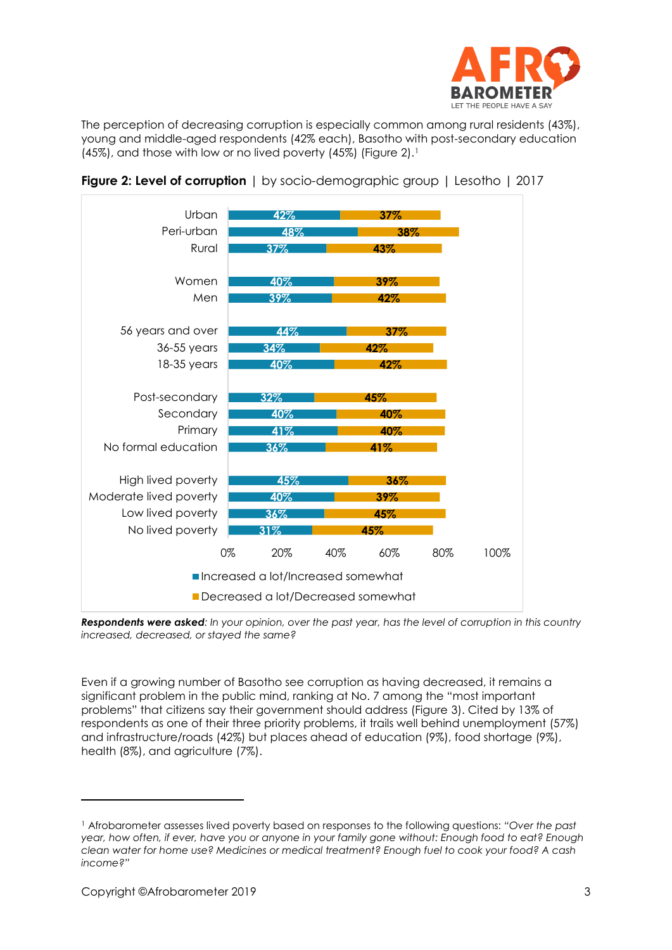

The perception of decreasing corruption is especially common among rural residents (43%), young and middle-aged respondents (42% each), Basotho with post-secondary education (45%), and those with low or no lived poverty (45%) (Figure 2).<sup>1</sup>



**Figure 2: Level of corruption** | by socio-demographic group | Lesotho | 2017

*Respondents were asked: In your opinion, over the past year, has the level of corruption in this country increased, decreased, or stayed the same?*

Even if a growing number of Basotho see corruption as having decreased, it remains a significant problem in the public mind, ranking at No. 7 among the "most important problems" that citizens say their government should address (Figure 3). Cited by 13% of respondents as one of their three priority problems, it trails well behind unemployment (57%) and infrastructure/roads (42%) but places ahead of education (9%), food shortage (9%), health (8%), and agriculture (7%).

<sup>1</sup> Afrobarometer assesses lived poverty based on responses to the following questions: *"Over the past year, how often, if ever, have you or anyone in your family gone without: Enough food to eat? Enough clean water for home use? Medicines or medical treatment? Enough fuel to cook your food? A cash income?"*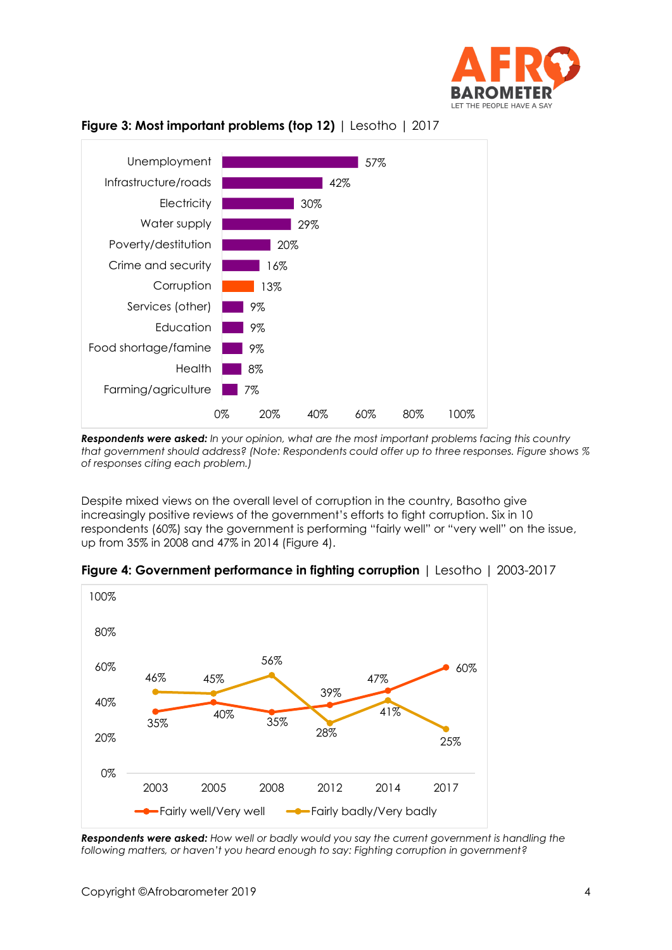



### **Figure 3: Most important problems (top 12)** | Lesotho | 2017

*Respondents were asked: In your opinion, what are the most important problems facing this country that government should address? (Note: Respondents could offer up to three responses. Figure shows % of responses citing each problem.)*

Despite mixed views on the overall level of corruption in the country, Basotho give increasingly positive reviews of the government's efforts to fight corruption. Six in 10 respondents (60%) say the government is performing "fairly well" or "very well" on the issue, up from 35% in 2008 and 47% in 2014 (Figure 4).



| Figure 4: Government performance in fighting corruption   Lesotho   2003-2017 |  |  |  |  |  |  |  |
|-------------------------------------------------------------------------------|--|--|--|--|--|--|--|
|-------------------------------------------------------------------------------|--|--|--|--|--|--|--|

*Respondents were asked: How well or badly would you say the current government is handling the following matters, or haven't you heard enough to say: Fighting corruption in government?*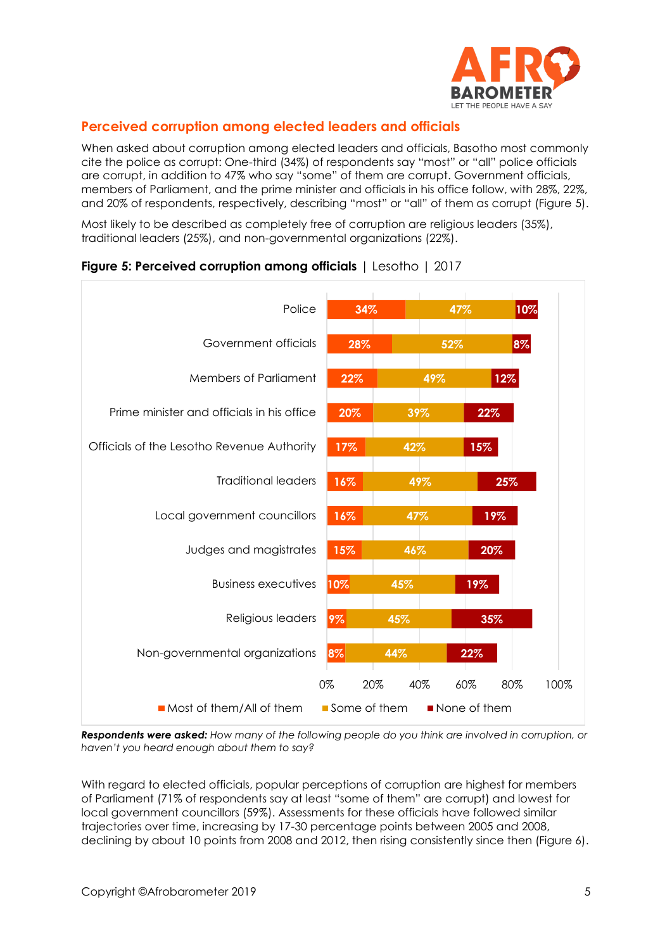

# **Perceived corruption among elected leaders and officials**

When asked about corruption among elected leaders and officials, Basotho most commonly cite the police as corrupt: One-third (34%) of respondents say "most" or "all" police officials are corrupt, in addition to 47% who say "some" of them are corrupt. Government officials, members of Parliament, and the prime minister and officials in his office follow, with 28%, 22%, and 20% of respondents, respectively, describing "most" or "all" of them as corrupt (Figure 5).

Most likely to be described as completely free of corruption are religious leaders (35%), traditional leaders (25%), and non-governmental organizations (22%).



#### **Figure 5: Perceived corruption among officials** | Lesotho | 2017

*Respondents were asked: How many of the following people do you think are involved in corruption, or haven't you heard enough about them to say?*

With regard to elected officials, popular perceptions of corruption are highest for members of Parliament (71% of respondents say at least "some of them" are corrupt) and lowest for local government councillors (59%). Assessments for these officials have followed similar trajectories over time, increasing by 17-30 percentage points between 2005 and 2008, declining by about 10 points from 2008 and 2012, then rising consistently since then (Figure 6).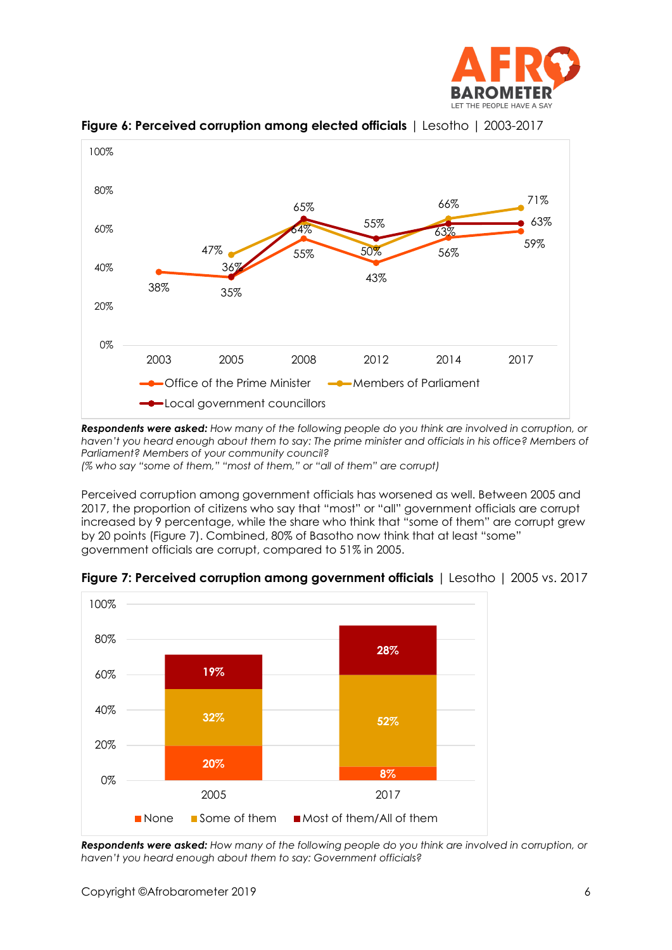



**Figure 6: Perceived corruption among elected officials** | Lesotho | 2003-2017

*Respondents were asked: How many of the following people do you think are involved in corruption, or haven't you heard enough about them to say: The prime minister and officials in his office? Members of Parliament? Members of your community council? (% who say "some of them," "most of them," or "all of them" are corrupt)*

Perceived corruption among government officials has worsened as well. Between 2005 and 2017, the proportion of citizens who say that "most" or "all" government officials are corrupt increased by 9 percentage, while the share who think that "some of them" are corrupt grew by 20 points (Figure 7). Combined, 80% of Basotho now think that at least "some" government officials are corrupt, compared to 51% in 2005.



**Figure 7: Perceived corruption among government officials** | Lesotho | 2005 vs. 2017

*Respondents were asked: How many of the following people do you think are involved in corruption, or haven't you heard enough about them to say: Government officials?*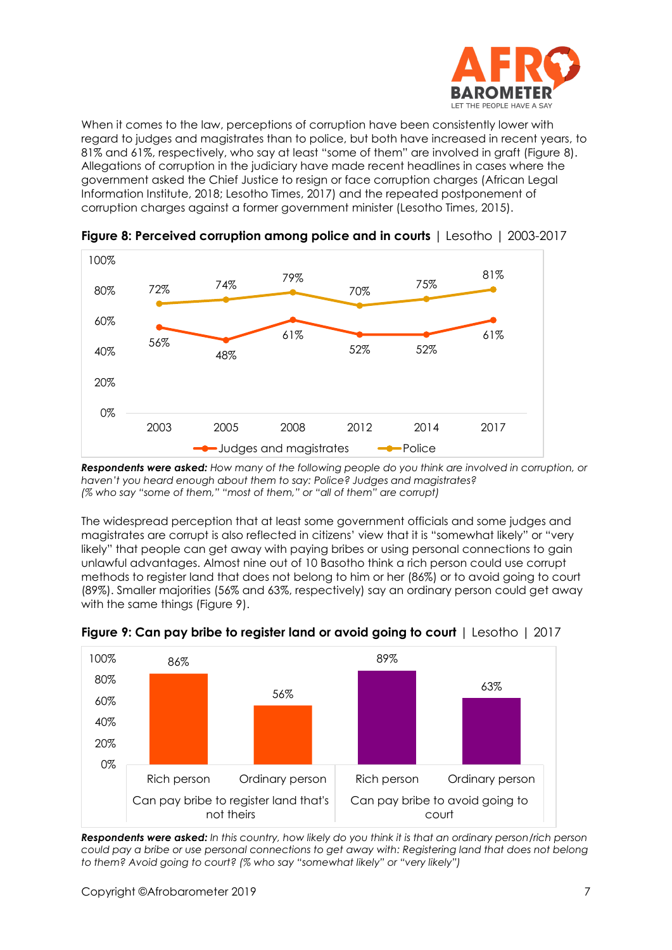

When it comes to the law, perceptions of corruption have been consistently lower with regard to judges and magistrates than to police, but both have increased in recent years, to 81% and 61%, respectively, who say at least "some of them" are involved in graft (Figure 8). Allegations of corruption in the judiciary have made recent headlines in cases where the government asked the Chief Justice to resign or face corruption charges (African Legal Information Institute, 2018; Lesotho Times, 2017) and the repeated postponement of corruption charges against a former government minister (Lesotho Times, 2015).



**Figure 8: Perceived corruption among police and in courts** | Lesotho | 2003-2017

*Respondents were asked: How many of the following people do you think are involved in corruption, or haven't you heard enough about them to say: Police? Judges and magistrates? (% who say "some of them," "most of them," or "all of them" are corrupt)*

The widespread perception that at least some government officials and some judges and magistrates are corrupt is also reflected in citizens' view that it is "somewhat likely" or "very likely" that people can get away with paying bribes or using personal connections to gain unlawful advantages. Almost nine out of 10 Basotho think a rich person could use corrupt methods to register land that does not belong to him or her (86%) or to avoid going to court (89%). Smaller majorities (56% and 63%, respectively) say an ordinary person could get away with the same things (Figure 9).



**Figure 9: Can pay bribe to register land or avoid going to court** | Lesotho | 2017

*Respondents were asked: In this country, how likely do you think it is that an ordinary person/rich person could pay a bribe or use personal connections to get away with: Registering land that does not belong to them? Avoid going to court? (% who say "somewhat likely" or "very likely")*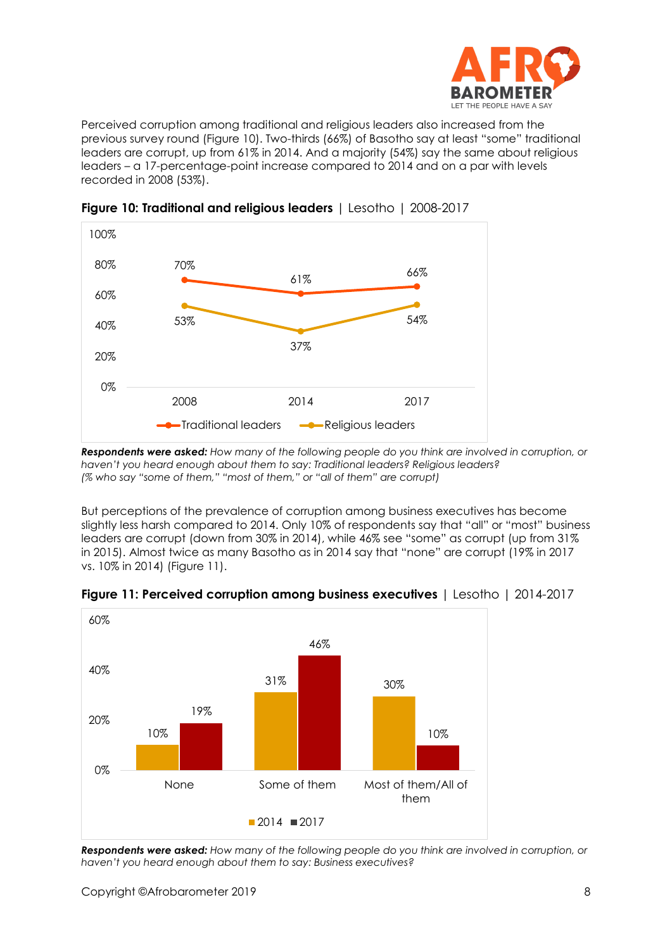

Perceived corruption among traditional and religious leaders also increased from the previous survey round (Figure 10). Two-thirds (66%) of Basotho say at least "some" traditional leaders are corrupt, up from 61% in 2014. And a majority (54%) say the same about religious leaders – a 17-percentage-point increase compared to 2014 and on a par with levels recorded in 2008 (53%).



**Figure 10: Traditional and religious leaders** | Lesotho | 2008-2017

*Respondents were asked: How many of the following people do you think are involved in corruption, or haven't you heard enough about them to say: Traditional leaders? Religious leaders? (% who say "some of them," "most of them," or "all of them" are corrupt)*

But perceptions of the prevalence of corruption among business executives has become slightly less harsh compared to 2014. Only 10% of respondents say that "all" or "most" business leaders are corrupt (down from 30% in 2014), while 46% see "some" as corrupt (up from 31% in 2015). Almost twice as many Basotho as in 2014 say that "none" are corrupt (19% in 2017 vs. 10% in 2014) (Figure 11).





*Respondents were asked: How many of the following people do you think are involved in corruption, or haven't you heard enough about them to say: Business executives?*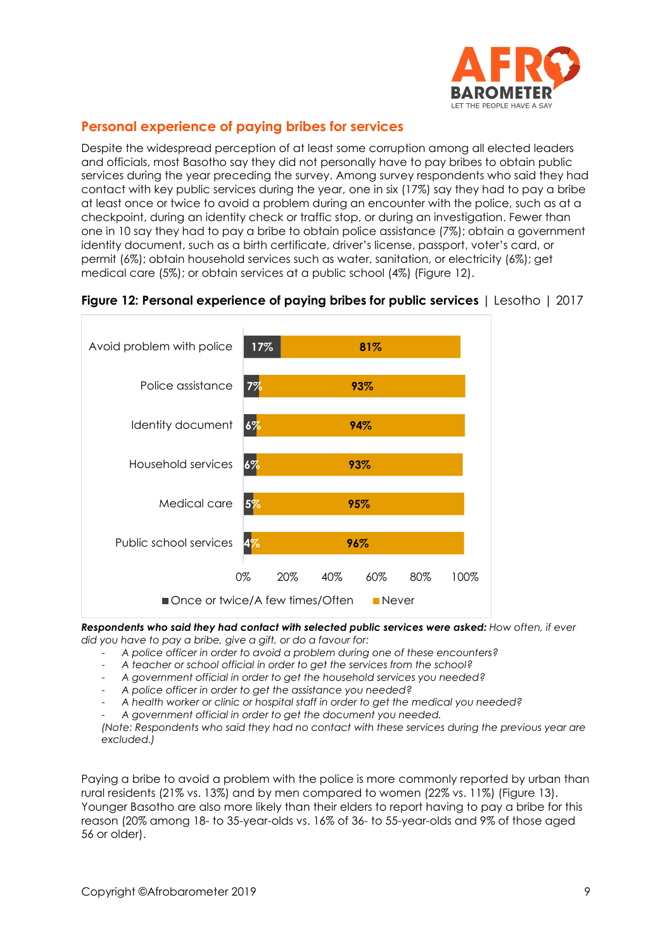

# **Personal experience of paying bribes for services**

Despite the widespread perception of at least some corruption among all elected leaders and officials, most Basotho say they did not personally have to pay bribes to obtain public services during the year preceding the survey. Among survey respondents who said they had contact with key public services during the year, one in six (17%) say they had to pay a bribe at least once or twice to avoid a problem during an encounter with the police, such as at a checkpoint, during an identity check or traffic stop, or during an investigation. Fewer than one in 10 say they had to pay a bribe to obtain police assistance (7%); obtain a government identity document, such as a birth certificate, driver's license, passport, voter's card, or permit (6%); obtain household services such as water, sanitation, or electricity (6%); get medical care (5%); or obtain services at a public school (4%) (Figure 12).





*Respondents who said they had contact with selected public services were asked: How often, if ever did you have to pay a bribe, give a gift, or do a favour for:*

- *A police officer in order to avoid a problem during one of these encounters?*
- *A teacher or school official in order to get the services from the school?*
- *A government official in order to get the household services you needed?*
- *A police officer in order to get the assistance you needed?*
- *A health worker or clinic or hospital staff in order to get the medical you needed?*
- *A government official in order to get the document you needed.*

*(Note: Respondents who said they had no contact with these services during the previous year are excluded.)*

Paying a bribe to avoid a problem with the police is more commonly reported by urban than rural residents (21% vs. 13%) and by men compared to women (22% vs. 11%) (Figure 13). Younger Basotho are also more likely than their elders to report having to pay a bribe for this reason (20% among 18- to 35-year-olds vs. 16% of 36- to 55-year-olds and 9% of those aged 56 or older).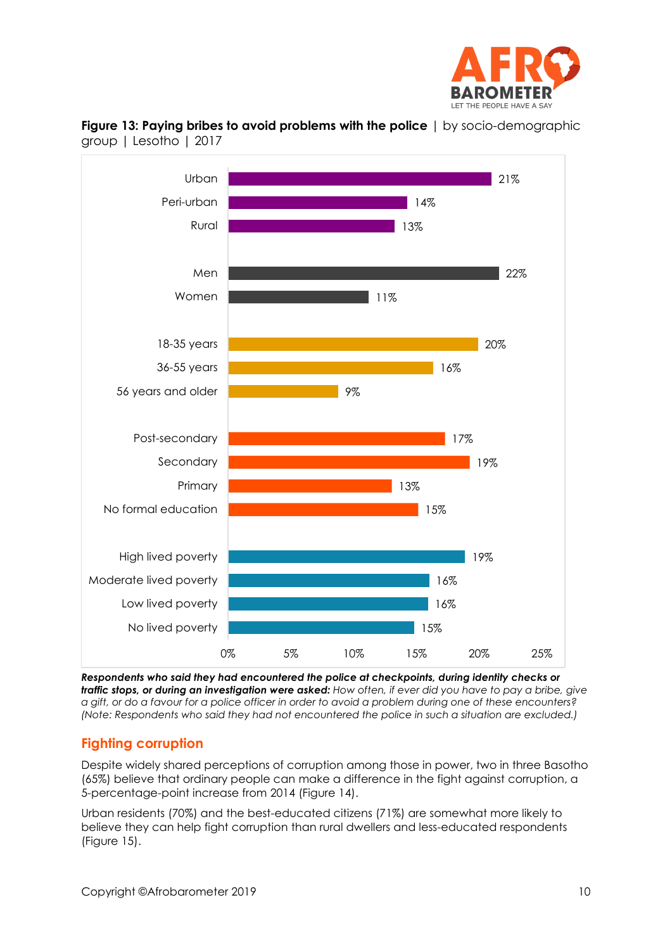



**Figure 13: Paying bribes to avoid problems with the police** | by socio-demographic group | Lesotho | 2017

*Respondents who said they had encountered the police at checkpoints, during identity checks or traffic stops, or during an investigation were asked: How often, if ever did you have to pay a bribe, give a gift, or do a favour for a police officer in order to avoid a problem during one of these encounters? (Note: Respondents who said they had not encountered the police in such a situation are excluded.)*

# **Fighting corruption**

Despite widely shared perceptions of corruption among those in power, two in three Basotho (65%) believe that ordinary people can make a difference in the fight against corruption, a 5-percentage-point increase from 2014 (Figure 14).

Urban residents (70%) and the best-educated citizens (71%) are somewhat more likely to believe they can help fight corruption than rural dwellers and less-educated respondents (Figure 15).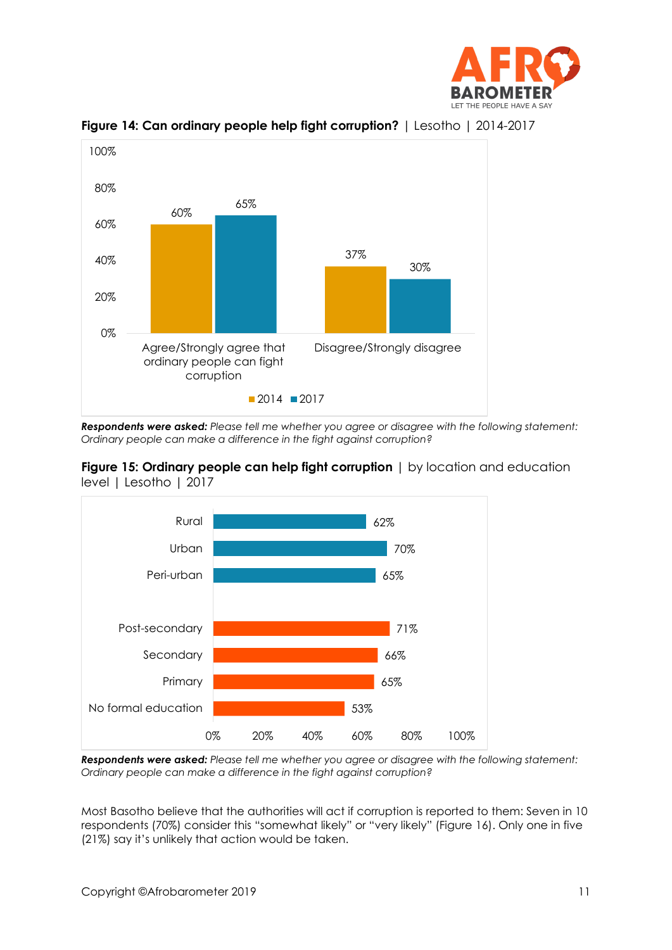





*Respondents were asked: Please tell me whether you agree or disagree with the following statement: Ordinary people can make a difference in the fight against corruption?*





*Respondents were asked: Please tell me whether you agree or disagree with the following statement: Ordinary people can make a difference in the fight against corruption?*

Most Basotho believe that the authorities will act if corruption is reported to them: Seven in 10 respondents (70%) consider this "somewhat likely" or "very likely" (Figure 16). Only one in five (21%) say it's unlikely that action would be taken.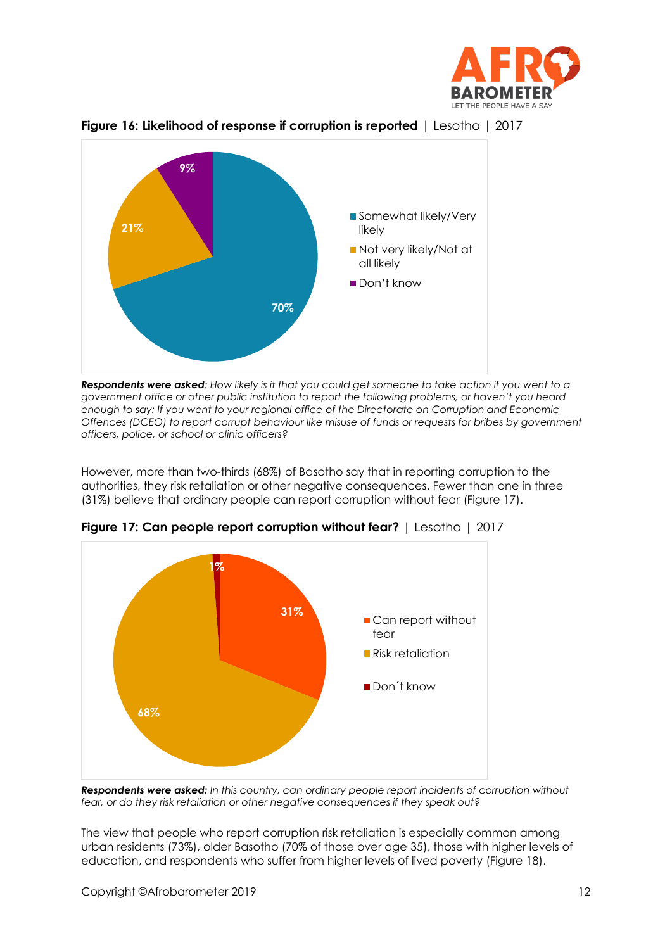



**Figure 16: Likelihood of response if corruption is reported** | Lesotho | 2017



However, more than two-thirds (68%) of Basotho say that in reporting corruption to the authorities, they risk retaliation or other negative consequences. Fewer than one in three (31%) believe that ordinary people can report corruption without fear (Figure 17).



**Figure 17: Can people report corruption without fear?** | Lesotho | 2017

*Respondents were asked: In this country, can ordinary people report incidents of corruption without fear, or do they risk retaliation or other negative consequences if they speak out?*

The view that people who report corruption risk retaliation is especially common among urban residents (73%), older Basotho (70% of those over age 35), those with higher levels of education, and respondents who suffer from higher levels of lived poverty (Figure 18).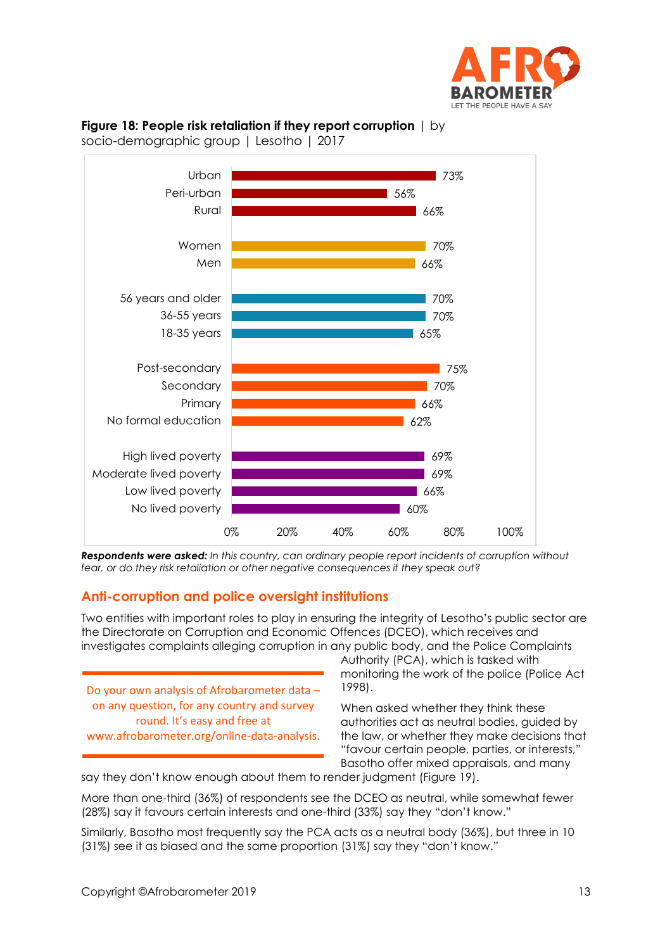



**Figure 18: People risk retaliation if they report corruption** | by socio-demographic group | Lesotho | 2017

*Respondents were asked: In this country, can ordinary people report incidents of corruption without fear, or do they risk retaliation or other negative consequences if they speak out?*

# **Anti-corruption and police oversight institutions**

Two entities with important roles to play in ensuring the integrity of Lesotho's public sector are the Directorate on Corruption and Economic Offences (DCEO), which receives and investigates complaints alleging corruption in any public body, and the Police Complaints

Do your own analysis of Afrobarometer data – on any question, for any country and survey round. It's easy and free at www.afrobarometer.org/online-data-analysis. Authority (PCA), which is tasked with monitoring the work of the police (Police Act 1998).

When asked whether they think these authorities act as neutral bodies, guided by the law, or whether they make decisions that "favour certain people, parties, or interests," Basotho offer mixed appraisals, and many

say they don't know enough about them to render judgment (Figure 19).

More than one-third (36%) of respondents see the DCEO as neutral, while somewhat fewer (28%) say it favours certain interests and one-third (33%) say they "don't know."

Similarly, Basotho most frequently say the PCA acts as a neutral body (36%), but three in 10 (31%) see it as biased and the same proportion (31%) say they "don't know."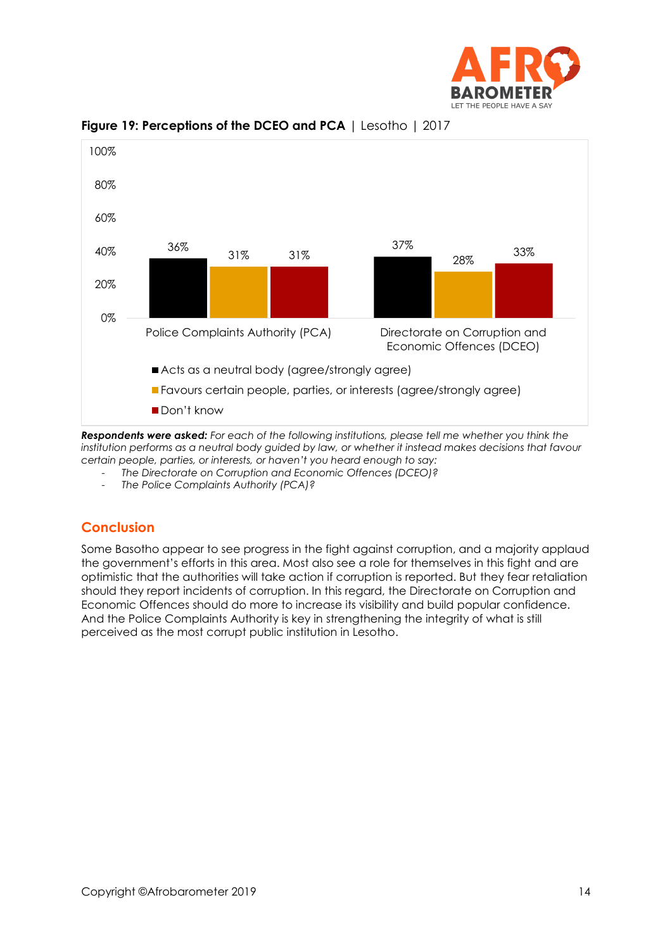



## **Figure 19: Perceptions of the DCEO and PCA** | Lesotho | 2017

*Respondents were asked: For each of the following institutions, please tell me whether you think the*  institution performs as a neutral body guided by law, or whether it instead makes decisions that favour *certain people, parties, or interests, or haven't you heard enough to say:* 

- *The Directorate on Corruption and Economic Offences (DCEO)?*

- *The Police Complaints Authority (PCA)?*

# **Conclusion**

Some Basotho appear to see progress in the fight against corruption, and a majority applaud the government's efforts in this area. Most also see a role for themselves in this fight and are optimistic that the authorities will take action if corruption is reported. But they fear retaliation should they report incidents of corruption. In this regard, the Directorate on Corruption and Economic Offences should do more to increase its visibility and build popular confidence. And the Police Complaints Authority is key in strengthening the integrity of what is still perceived as the most corrupt public institution in Lesotho.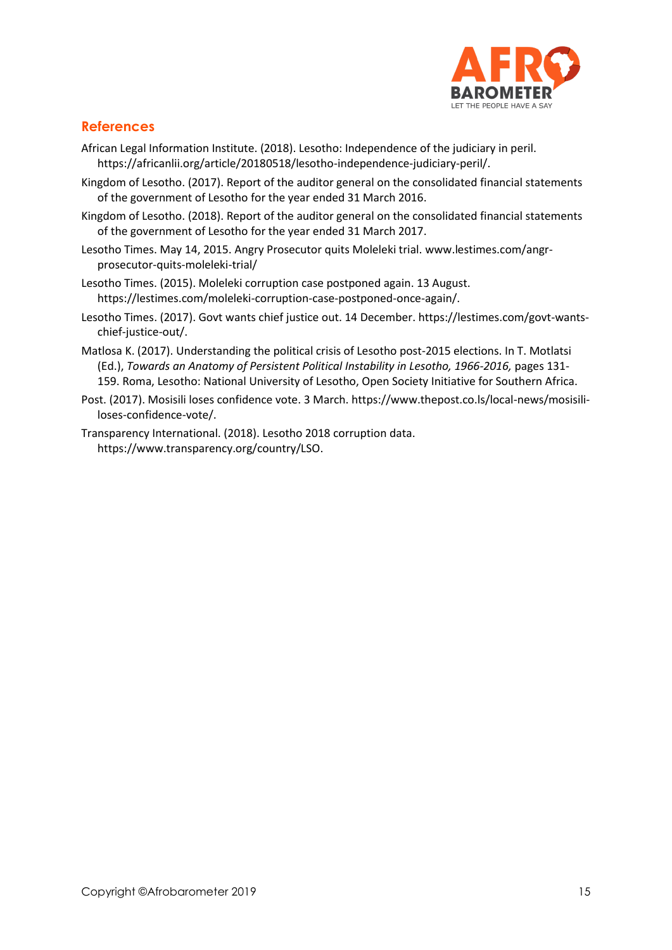

## **References**

- African Legal Information Institute. (2018). Lesotho: Independence of the judiciary in peril. [https://africanlii.org/article/20180518/lesotho-independence-judiciary-peril/.](https://africanlii.org/article/20180518/lesotho-independence-judiciary-peril/)
- Kingdom of Lesotho. (2017). Report of the auditor general on the consolidated financial statements of the government of Lesotho for the year ended 31 March 2016.
- Kingdom of Lesotho. (2018). Report of the auditor general on the consolidated financial statements of the government of Lesotho for the year ended 31 March 2017.
- Lesotho Times. May 14, 2015. Angry Prosecutor quits Moleleki trial[. www.lestimes.com/angr](http://www.lestimes.com/angr-prosecutor-quits-moleleki-trial/)[prosecutor-quits-moleleki-trial/](http://www.lestimes.com/angr-prosecutor-quits-moleleki-trial/)
- Lesotho Times. (2015). Moleleki corruption case postponed again. 13 August. https://lestimes.com/moleleki-corruption-case-postponed-once-again/.
- Lesotho Times. (2017). Govt wants chief justice out. 14 December. https:/[/lestimes.com/govt-wants](http://www.lestimes.com/govt-wants-chief-justice-out/)[chief-justice-out/.](http://www.lestimes.com/govt-wants-chief-justice-out/)
- Matlosa K. (2017). Understanding the political crisis of Lesotho post-2015 elections. In T. Motlatsi (Ed.), *Towards an Anatomy of Persistent Political Instability in Lesotho, 1966-2016,* pages 131- 159. Roma, Lesotho: National University of Lesotho, Open Society Initiative for Southern Africa.
- Post. (2017). Mosisili loses confidence vote. 3 March. https://www.thepost.co.ls/local-news/mosisililoses-confidence-vote/.
- Transparency International. (2018). Lesotho 2018 corruption data. [https://www.transparency.org/country/LSO.](https://www.transparency.org/country/LSO)